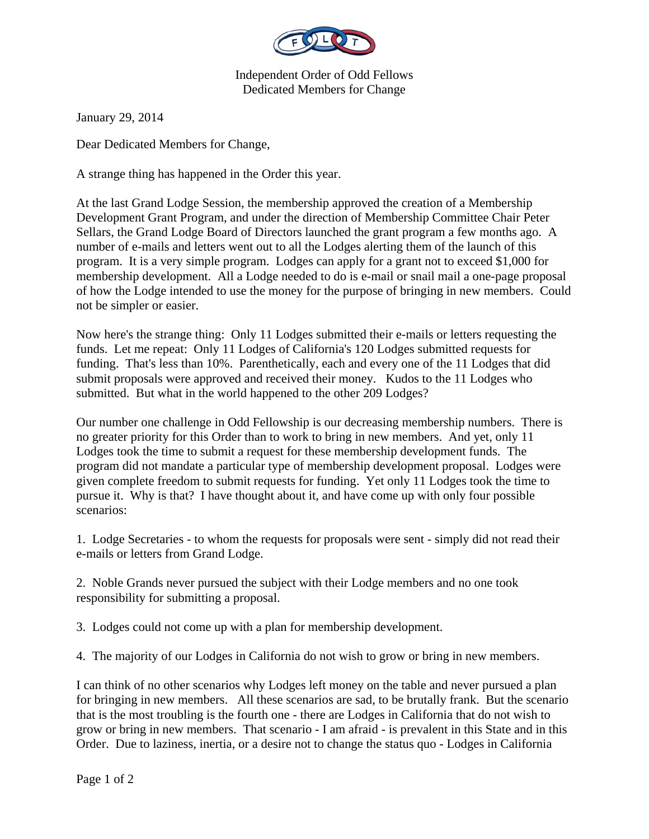

Independent Order of Odd Fellows Dedicated Members for Change

January 29, 2014

Dear Dedicated Members for Change,

A strange thing has happened in the Order this year.

At the last Grand Lodge Session, the membership approved the creation of a Membership Development Grant Program, and under the direction of Membership Committee Chair Peter Sellars, the Grand Lodge Board of Directors launched the grant program a few months ago. A number of e-mails and letters went out to all the Lodges alerting them of the launch of this program. It is a very simple program. Lodges can apply for a grant not to exceed \$1,000 for membership development. All a Lodge needed to do is e-mail or snail mail a one-page proposal of how the Lodge intended to use the money for the purpose of bringing in new members. Could not be simpler or easier.

Now here's the strange thing: Only 11 Lodges submitted their e-mails or letters requesting the funds. Let me repeat: Only 11 Lodges of California's 120 Lodges submitted requests for funding. That's less than 10%. Parenthetically, each and every one of the 11 Lodges that did submit proposals were approved and received their money. Kudos to the 11 Lodges who submitted. But what in the world happened to the other 209 Lodges?

Our number one challenge in Odd Fellowship is our decreasing membership numbers. There is no greater priority for this Order than to work to bring in new members. And yet, only 11 Lodges took the time to submit a request for these membership development funds. The program did not mandate a particular type of membership development proposal. Lodges were given complete freedom to submit requests for funding. Yet only 11 Lodges took the time to pursue it. Why is that? I have thought about it, and have come up with only four possible scenarios:

1. Lodge Secretaries - to whom the requests for proposals were sent - simply did not read their e-mails or letters from Grand Lodge.

2. Noble Grands never pursued the subject with their Lodge members and no one took responsibility for submitting a proposal.

3. Lodges could not come up with a plan for membership development.

4. The majority of our Lodges in California do not wish to grow or bring in new members.

I can think of no other scenarios why Lodges left money on the table and never pursued a plan for bringing in new members. All these scenarios are sad, to be brutally frank. But the scenario that is the most troubling is the fourth one - there are Lodges in California that do not wish to grow or bring in new members. That scenario - I am afraid - is prevalent in this State and in this Order. Due to laziness, inertia, or a desire not to change the status quo - Lodges in California